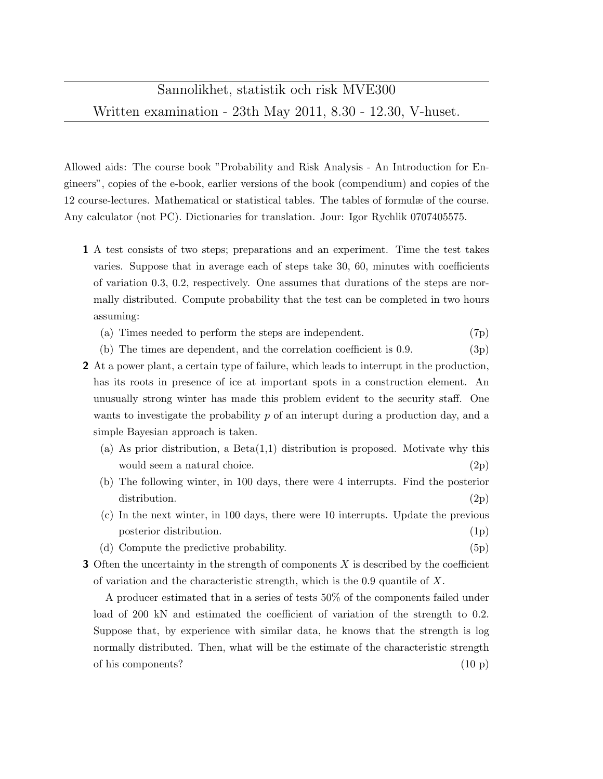Allowed aids: The course book "Probability and Risk Analysis - An Introduction for Engineers", copies of the e-book, earlier versions of the book (compendium) and copies of the 12 course-lectures. Mathematical or statistical tables. The tables of formulæ of the course. Any calculator (not PC). Dictionaries for translation. Jour: Igor Rychlik 0707405575.

- 1 A test consists of two steps; preparations and an experiment. Time the test takes varies. Suppose that in average each of steps take 30, 60, minutes with coefficients of variation 0.3, 0.2, respectively. One assumes that durations of the steps are normally distributed. Compute probability that the test can be completed in two hours assuming:
	- (a) Times needed to perform the steps are independent. (7p)
	- (b) The times are dependent, and the correlation coefficient is  $0.9$ . (3p)
- 2 At a power plant, a certain type of failure, which leads to interrupt in the production, has its roots in presence of ice at important spots in a construction element. An unusually strong winter has made this problem evident to the security staff. One wants to investigate the probability  $p$  of an interupt during a production day, and a simple Bayesian approach is taken.
	- (a) As prior distribution, a  $Beta(1,1)$  distribution is proposed. Motivate why this would seem a natural choice. (2p)
	- (b) The following winter, in 100 days, there were 4 interrupts. Find the posterior distribution. (2p)
	- (c) In the next winter, in 100 days, there were 10 interrupts. Update the previous posterior distribution. (1p)
	- (d) Compute the predictive probability. (5p)
- **3** Often the uncertainty in the strength of components  $X$  is described by the coefficient of variation and the characteristic strength, which is the 0.9 quantile of  $X$ .

A producer estimated that in a series of tests 50% of the components failed under load of 200 kN and estimated the coefficient of variation of the strength to 0.2. Suppose that, by experience with similar data, he knows that the strength is log normally distributed. Then, what will be the estimate of the characteristic strength of his components? (10 p)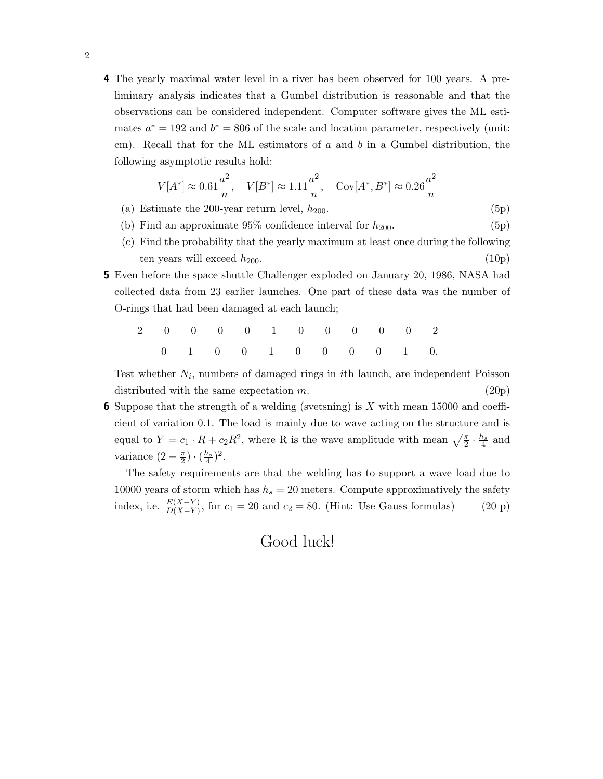4 The yearly maximal water level in a river has been observed for 100 years. A preliminary analysis indicates that a Gumbel distribution is reasonable and that the observations can be considered independent. Computer software gives the ML estimates  $a^* = 192$  and  $b^* = 806$  of the scale and location parameter, respectively (unit: cm). Recall that for the ML estimators of  $a$  and  $b$  in a Gumbel distribution, the following asymptotic results hold:

$$
V[A^*] \approx 0.61 \frac{a^2}{n}, \quad V[B^*] \approx 1.11 \frac{a^2}{n}, \quad \text{Cov}[A^*, B^*] \approx 0.26 \frac{a^2}{n}
$$

- (a) Estimate the 200-year return level,  $h_{200}$ . (5p)
- (b) Find an approximate  $95\%$  confidence interval for  $h_{200}$ . (5p)
- (c) Find the probability that the yearly maximum at least once during the following ten years will exceed  $h_{200}$ . (10p)
- 5 Even before the space shuttle Challenger exploded on January 20, 1986, NASA had collected data from 23 earlier launches. One part of these data was the number of O-rings that had been damaged at each launch;

2 0 0 0 0 1 0 0 0 0 0 2 0 1 0 0 1 0 0 0 0 1 0.

Test whether  $N_i$ , numbers of damaged rings in *i*th launch, are independent Poisson distributed with the same expectation  $m$ . (20p)

**6** Suppose that the strength of a welding (svetsning) is X with mean 15000 and coefficient of variation 0.1. The load is mainly due to wave acting on the structure and is equal to  $Y = c_1 \cdot R + c_2 R^2$ , where R is the wave amplitude with mean  $\sqrt{\frac{\pi}{2}} \cdot \frac{h_s}{4}$  and variance  $(2-\frac{\pi}{2})$  $(\frac{h_s}{4})^2$ .

The safety requirements are that the welding has to support a wave load due to 10000 years of storm which has  $h_s = 20$  meters. Compute approximatively the safety index, i.e.  $\frac{E(X-Y)}{D(X-Y)}$ , for  $c_1 = 20$  and  $c_2 = 80$ . (Hint: Use Gauss formulas) (20 p)

Good luck!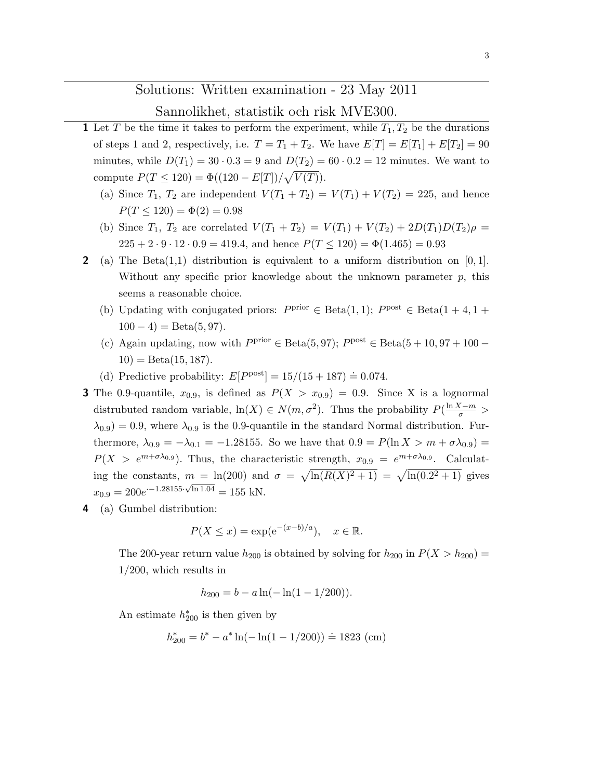## Solutions: Written examination - 23 May 2011

## Sannolikhet, statistik och risk MVE300.

- 1 Let T be the time it takes to perform the experiment, while  $T_1, T_2$  be the durations of steps 1 and 2, respectively, i.e.  $T = T_1 + T_2$ . We have  $E[T] = E[T_1] + E[T_2] = 90$ minutes, while  $D(T_1) = 30 \cdot 0.3 = 9$  and  $D(T_2) = 60 \cdot 0.2 = 12$  minutes. We want to compute  $P(T \le 120) = \Phi((120 - E[T]) / \sqrt{V(T)})$ .
	- (a) Since  $T_1$ ,  $T_2$  are independent  $V(T_1 + T_2) = V(T_1) + V(T_2) = 225$ , and hence  $P(T \le 120) = \Phi(2) = 0.98$
	- (b) Since  $T_1$ ,  $T_2$  are correlated  $V(T_1 + T_2) = V(T_1) + V(T_2) + 2D(T_1)D(T_2)\rho =$  $225 + 2 \cdot 9 \cdot 12 \cdot 0.9 = 419.4$ , and hence  $P(T \le 120) = \Phi(1.465) = 0.93$
- 2 (a) The Beta $(1,1)$  distribution is equivalent to a uniform distribution on [0, 1]. Without any specific prior knowledge about the unknown parameter  $p$ , this seems a reasonable choice.
	- (b) Updating with conjugated priors:  $P<sup>prior</sup> \in Beta(1,1); P<sup>post</sup> \in Beta(1 + 4, 1 +$  $100 - 4$ ) = Beta $(5, 97)$ .
	- (c) Again updating, now with  $P<sup>prior</sup> \in Beta(5, 97)$ ;  $P<sup>post</sup> \in Beta(5 + 10, 97 + 100 10) = \text{Beta}(15, 187).$
	- (d) Predictive probability:  $E[P<sup>post</sup>] = 15/(15 + 187) = 0.074$ .
- **3** The 0.9-quantile,  $x_{0.9}$ , is defined as  $P(X > x_{0.9}) = 0.9$ . Since X is a lognormal distrubuted random variable,  $\ln(X) \in N(m, \sigma^2)$ . Thus the probability  $P(\frac{\ln X - m}{\sigma} >$  $\lambda_{0.9}$  = 0.9, where  $\lambda_{0.9}$  is the 0.9-quantile in the standard Normal distribution. Furthermore,  $\lambda_{0.9} = -\lambda_{0.1} = -1.28155$ . So we have that  $0.9 = P(\ln X > m + \sigma \lambda_{0.9}) =$  $P(X > e^{m+\sigma\lambda_{0.9}})$ . Thus, the characteristic strength,  $x_{0.9} = e^{m+\sigma\lambda_{0.9}}$ . Calculating the constants,  $m = \ln(200)$  and  $\sigma = \sqrt{\ln(R(X)^2 + 1)} = \sqrt{\ln(0.2^2 + 1)}$  gives  $x_{0.9} = 200e^{-1.28155 \cdot \sqrt{\ln 1.04}} = 155 \text{ kN}.$
- 4 (a) Gumbel distribution:

$$
P(X \le x) = \exp(e^{-(x-b)/a}), \quad x \in \mathbb{R}.
$$

The 200-year return value  $h_{200}$  is obtained by solving for  $h_{200}$  in  $P(X > h_{200}) =$ 1/200, which results in

 $h_{200} = b - a \ln(-\ln(1 - 1/200)).$ 

An estimate  $h_{200}^*$  is then given by

$$
h_{200}^* = b^* - a^* \ln(-\ln(1 - 1/200)) \doteq 1823
$$
 (cm)